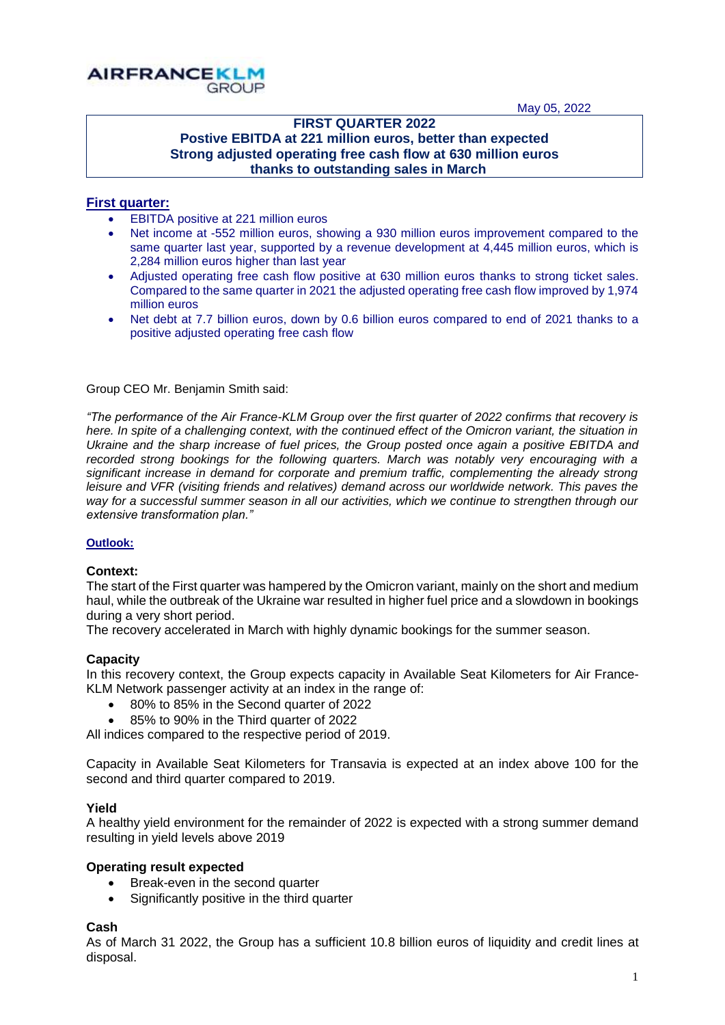May 05, 2022



## **FIRST QUARTER 2022 Postive EBITDA at 221 million euros, better than expected Strong adjusted operating free cash flow at 630 million euros thanks to outstanding sales in March**

## **First quarter:**

- **EBITDA positive at 221 million euros**
- Net income at -552 million euros, showing a 930 million euros improvement compared to the same quarter last year, supported by a revenue development at 4,445 million euros, which is 2,284 million euros higher than last year
- Adjusted operating free cash flow positive at 630 million euros thanks to strong ticket sales. Compared to the same quarter in 2021 the adjusted operating free cash flow improved by 1,974 million euros
- Net debt at 7.7 billion euros, down by 0.6 billion euros compared to end of 2021 thanks to a positive adjusted operating free cash flow

Group CEO Mr. Benjamin Smith said:

*"The performance of the Air France-KLM Group over the first quarter of 2022 confirms that recovery is here. In spite of a challenging context, with the continued effect of the Omicron variant, the situation in Ukraine and the sharp increase of fuel prices, the Group posted once again a positive EBITDA and*  recorded strong bookings for the following quarters. March was notably very encouraging with a *significant increase in demand for corporate and premium traffic, complementing the already strong leisure and VFR (visiting friends and relatives) demand across our worldwide network. This paves the way for a successful summer season in all our activities, which we continue to strengthen through our extensive transformation plan."*

## **Outlook:**

#### **Context:**

The start of the First quarter was hampered by the Omicron variant, mainly on the short and medium haul, while the outbreak of the Ukraine war resulted in higher fuel price and a slowdown in bookings during a very short period.

The recovery accelerated in March with highly dynamic bookings for the summer season.

## **Capacity**

In this recovery context, the Group expects capacity in Available Seat Kilometers for Air France-KLM Network passenger activity at an index in the range of:

- 80% to 85% in the Second quarter of 2022
- 85% to 90% in the Third quarter of 2022

All indices compared to the respective period of 2019.

Capacity in Available Seat Kilometers for Transavia is expected at an index above 100 for the second and third quarter compared to 2019.

#### **Yield**

A healthy yield environment for the remainder of 2022 is expected with a strong summer demand resulting in yield levels above 2019

#### **Operating result expected**

- Break-even in the second quarter
- Significantly positive in the third quarter

#### **Cash**

As of March 31 2022, the Group has a sufficient 10.8 billion euros of liquidity and credit lines at disposal.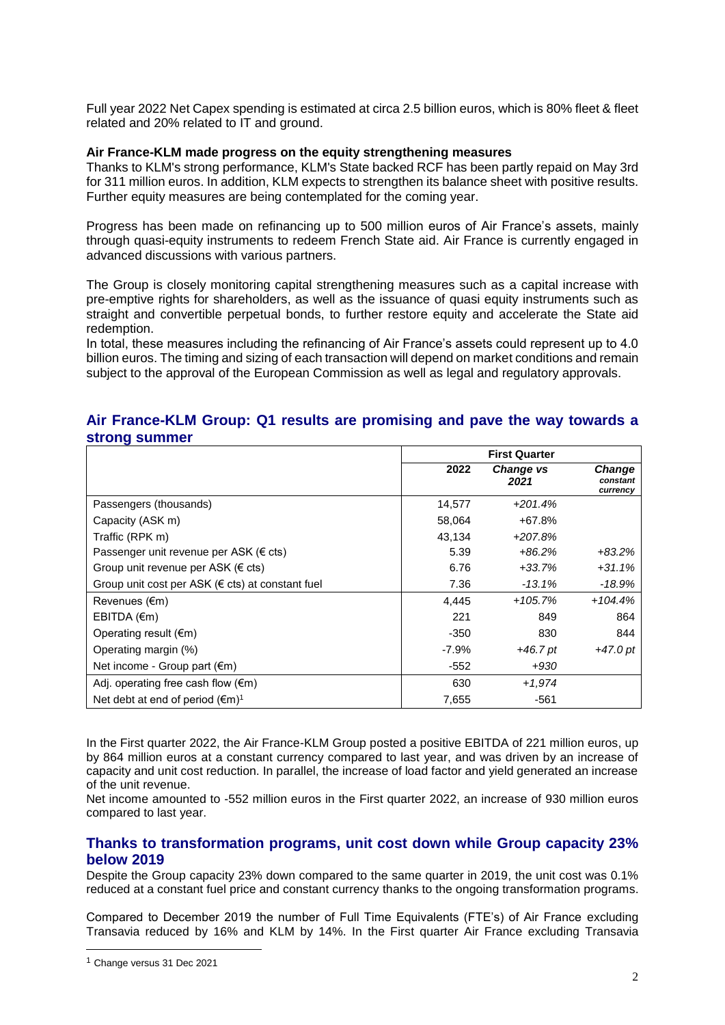Full year 2022 Net Capex spending is estimated at circa 2.5 billion euros, which is 80% fleet & fleet related and 20% related to IT and ground.

#### **Air France-KLM made progress on the equity strengthening measures**

Thanks to KLM's strong performance, KLM's State backed RCF has been partly repaid on May 3rd for 311 million euros. In addition, KLM expects to strengthen its balance sheet with positive results. Further equity measures are being contemplated for the coming year.

Progress has been made on refinancing up to 500 million euros of Air France's assets, mainly through quasi-equity instruments to redeem French State aid. Air France is currently engaged in advanced discussions with various partners.

The Group is closely monitoring capital strengthening measures such as a capital increase with pre-emptive rights for shareholders, as well as the issuance of quasi equity instruments such as straight and convertible perpetual bonds, to further restore equity and accelerate the State aid redemption.

In total, these measures including the refinancing of Air France's assets could represent up to 4.0 billion euros. The timing and sizing of each transaction will depend on market conditions and remain subject to the approval of the European Commission as well as legal and regulatory approvals.

## **Air France-KLM Group: Q1 results are promising and pave the way towards a strong summer**

|                                                            | <b>First Quarter</b> |                   |                                |
|------------------------------------------------------------|----------------------|-------------------|--------------------------------|
|                                                            | 2022                 | Change vs<br>2021 | Change<br>constant<br>currency |
| Passengers (thousands)                                     | 14,577               | $+201.4%$         |                                |
| Capacity (ASK m)                                           | 58,064               | $+67.8%$          |                                |
| Traffic (RPK m)                                            | 43,134               | $+207.8%$         |                                |
| Passenger unit revenue per ASK ( $\epsilon$ cts)           | 5.39                 | $+86.2%$          | $+83.2\%$                      |
| Group unit revenue per ASK (€ cts)                         | 6.76                 | $+33.7%$          | $+31.1%$                       |
| Group unit cost per ASK ( $\epsilon$ cts) at constant fuel | 7.36                 | $-13.1%$          | -18.9%                         |
| Revenues $(\epsilon m)$                                    | 4,445                | $+105.7%$         | $+104.4%$                      |
| EBITDA (€m)                                                | 221                  | 849               | 864                            |
| Operating result $(\epsilon m)$                            | $-350$               | 830               | 844                            |
| Operating margin (%)                                       | $-7.9\%$             | $+46.7pt$         | $+47.0$ pt                     |
| Net income - Group part $(\epsilon m)$                     | $-552$               | +930              |                                |
| Adj. operating free cash flow $(\epsilon m)$               | 630                  | $+1.974$          |                                |
| Net debt at end of period $(\epsilon m)^1$                 | 7,655                | $-561$            |                                |

In the First quarter 2022, the Air France-KLM Group posted a positive EBITDA of 221 million euros, up by 864 million euros at a constant currency compared to last year, and was driven by an increase of capacity and unit cost reduction. In parallel, the increase of load factor and yield generated an increase of the unit revenue.

Net income amounted to -552 million euros in the First quarter 2022, an increase of 930 million euros compared to last year.

## **Thanks to transformation programs, unit cost down while Group capacity 23% below 2019**

Despite the Group capacity 23% down compared to the same quarter in 2019, the unit cost was 0.1% reduced at a constant fuel price and constant currency thanks to the ongoing transformation programs.

Compared to December 2019 the number of Full Time Equivalents (FTE's) of Air France excluding Transavia reduced by 16% and KLM by 14%. In the First quarter Air France excluding Transavia

 $\overline{\phantom{a}}$ 

<sup>1</sup> Change versus 31 Dec 2021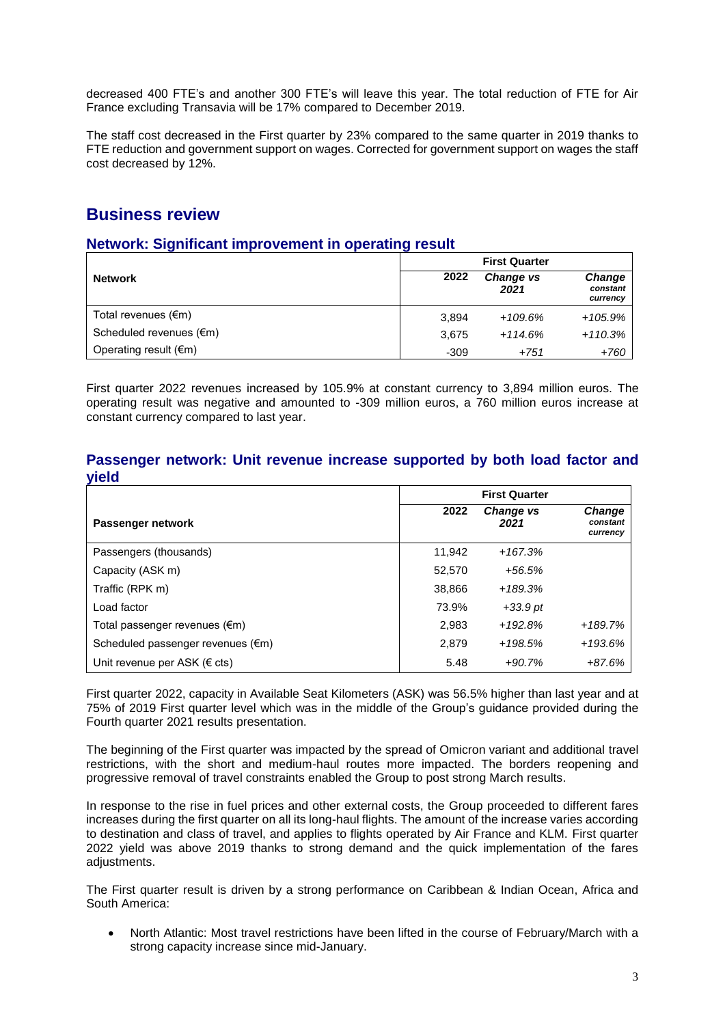decreased 400 FTE's and another 300 FTE's will leave this year. The total reduction of FTE for Air France excluding Transavia will be 17% compared to December 2019.

The staff cost decreased in the First quarter by 23% compared to the same quarter in 2019 thanks to FTE reduction and government support on wages. Corrected for government support on wages the staff cost decreased by 12%.

## **Business review**

## **Network: Significant improvement in operating result**

|                                   | <b>First Quarter</b> |                          |                                       |
|-----------------------------------|----------------------|--------------------------|---------------------------------------|
| <b>Network</b>                    | 2022                 | <b>Change vs</b><br>2021 | <b>Change</b><br>constant<br>currency |
| Total revenues (€m)               | 3.894                | +109.6%                  | $+105.9%$                             |
| Scheduled revenues $(\epsilon m)$ | 3.675                | $+114.6%$                | $+110.3%$                             |
| Operating result $(\epsilon m)$   | $-309$               | +751                     | $+760$                                |

First quarter 2022 revenues increased by 105.9% at constant currency to 3,894 million euros. The operating result was negative and amounted to -309 million euros, a 760 million euros increase at constant currency compared to last year.

## **Passenger network: Unit revenue increase supported by both load factor and yield**

|                                   | <b>First Quarter</b> |                          |                                       |
|-----------------------------------|----------------------|--------------------------|---------------------------------------|
| Passenger network                 | 2022                 | <b>Change vs</b><br>2021 | <b>Change</b><br>constant<br>currency |
| Passengers (thousands)            | 11.942               | $+167.3%$                |                                       |
| Capacity (ASK m)                  | 52,570               | $+56.5%$                 |                                       |
| Traffic (RPK m)                   | 38,866               | $+189.3%$                |                                       |
| Load factor                       | 73.9%                | $+33.9$ pt               |                                       |
| Total passenger revenues (€m)     | 2.983                | $+192.8%$                | +189.7%                               |
| Scheduled passenger revenues (€m) | 2,879                | $+198.5%$                | +193.6%                               |
| Unit revenue per ASK ( $\in$ cts) | 5.48                 | $+90.7%$                 | $+87.6%$                              |

First quarter 2022, capacity in Available Seat Kilometers (ASK) was 56.5% higher than last year and at 75% of 2019 First quarter level which was in the middle of the Group's guidance provided during the Fourth quarter 2021 results presentation.

The beginning of the First quarter was impacted by the spread of Omicron variant and additional travel restrictions, with the short and medium-haul routes more impacted. The borders reopening and progressive removal of travel constraints enabled the Group to post strong March results.

In response to the rise in fuel prices and other external costs, the Group proceeded to different fares increases during the first quarter on all its long-haul flights. The amount of the increase varies according to destination and class of travel, and applies to flights operated by Air France and KLM. First quarter 2022 yield was above 2019 thanks to strong demand and the quick implementation of the fares adiustments.

The First quarter result is driven by a strong performance on Caribbean & Indian Ocean, Africa and South America:

 North Atlantic: Most travel restrictions have been lifted in the course of February/March with a strong capacity increase since mid-January.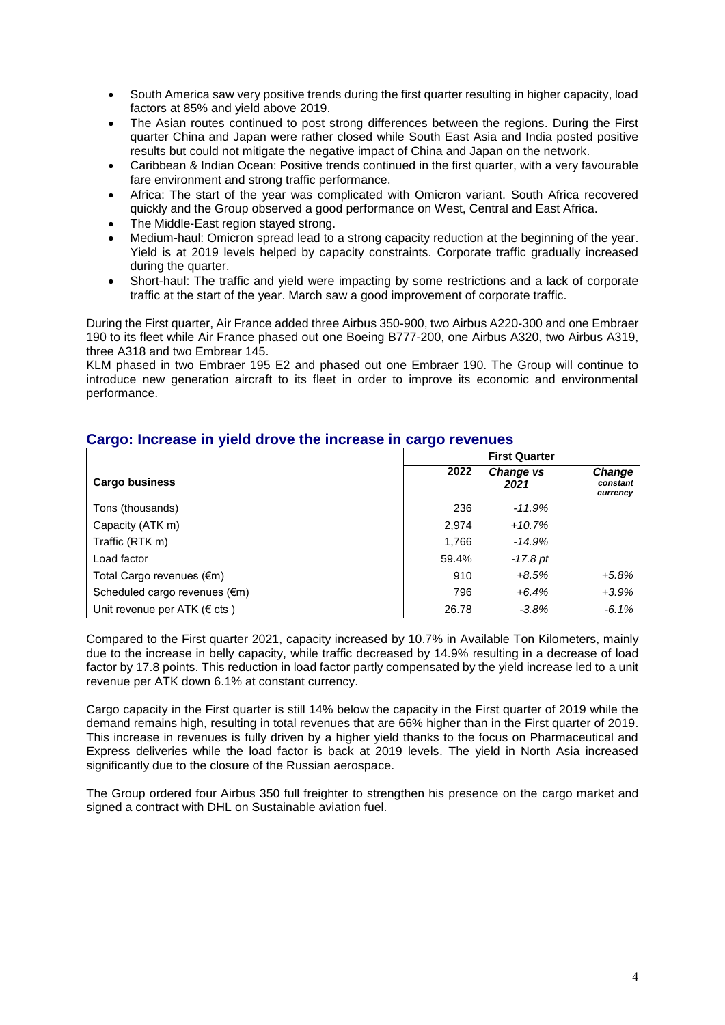- South America saw very positive trends during the first quarter resulting in higher capacity, load factors at 85% and yield above 2019.
- The Asian routes continued to post strong differences between the regions. During the First quarter China and Japan were rather closed while South East Asia and India posted positive results but could not mitigate the negative impact of China and Japan on the network.
- Caribbean & Indian Ocean: Positive trends continued in the first quarter, with a very favourable fare environment and strong traffic performance.
- Africa: The start of the year was complicated with Omicron variant. South Africa recovered quickly and the Group observed a good performance on West, Central and East Africa.
- The Middle-East region stayed strong.
- Medium-haul: Omicron spread lead to a strong capacity reduction at the beginning of the year. Yield is at 2019 levels helped by capacity constraints. Corporate traffic gradually increased during the quarter.
- Short-haul: The traffic and yield were impacting by some restrictions and a lack of corporate traffic at the start of the year. March saw a good improvement of corporate traffic.

During the First quarter, Air France added three Airbus 350-900, two Airbus A220-300 and one Embraer 190 to its fleet while Air France phased out one Boeing B777-200, one Airbus A320, two Airbus A319, three A318 and two Embrear 145.

KLM phased in two Embraer 195 E2 and phased out one Embraer 190. The Group will continue to introduce new generation aircraft to its fleet in order to improve its economic and environmental performance.

|                                         |       | <b>First Quarter</b> |                                       |  |
|-----------------------------------------|-------|----------------------|---------------------------------------|--|
| <b>Cargo business</b>                   | 2022  | Change vs<br>2021    | <b>Change</b><br>constant<br>currency |  |
| Tons (thousands)                        | 236   | $-11.9%$             |                                       |  |
| Capacity (ATK m)                        | 2,974 | $+10.7%$             |                                       |  |
| Traffic (RTK m)                         | 1,766 | $-14.9%$             |                                       |  |
| Load factor                             | 59.4% | -17.8 pt             |                                       |  |
| Total Cargo revenues (€m)               | 910   | $+8.5%$              | $+5.8\%$                              |  |
| Scheduled cargo revenues $(\epsilon m)$ | 796   | $+6.4%$              | $+3.9%$                               |  |
| Unit revenue per ATK ( $\in$ cts)       | 26.78 | $-3.8%$              | $-6.1%$                               |  |

## **Cargo: Increase in yield drove the increase in cargo revenues**

Compared to the First quarter 2021, capacity increased by 10.7% in Available Ton Kilometers, mainly due to the increase in belly capacity, while traffic decreased by 14.9% resulting in a decrease of load factor by 17.8 points. This reduction in load factor partly compensated by the yield increase led to a unit revenue per ATK down 6.1% at constant currency.

Cargo capacity in the First quarter is still 14% below the capacity in the First quarter of 2019 while the demand remains high, resulting in total revenues that are 66% higher than in the First quarter of 2019. This increase in revenues is fully driven by a higher yield thanks to the focus on Pharmaceutical and Express deliveries while the load factor is back at 2019 levels. The yield in North Asia increased significantly due to the closure of the Russian aerospace.

The Group ordered four Airbus 350 full freighter to strengthen his presence on the cargo market and signed a contract with DHL on Sustainable aviation fuel.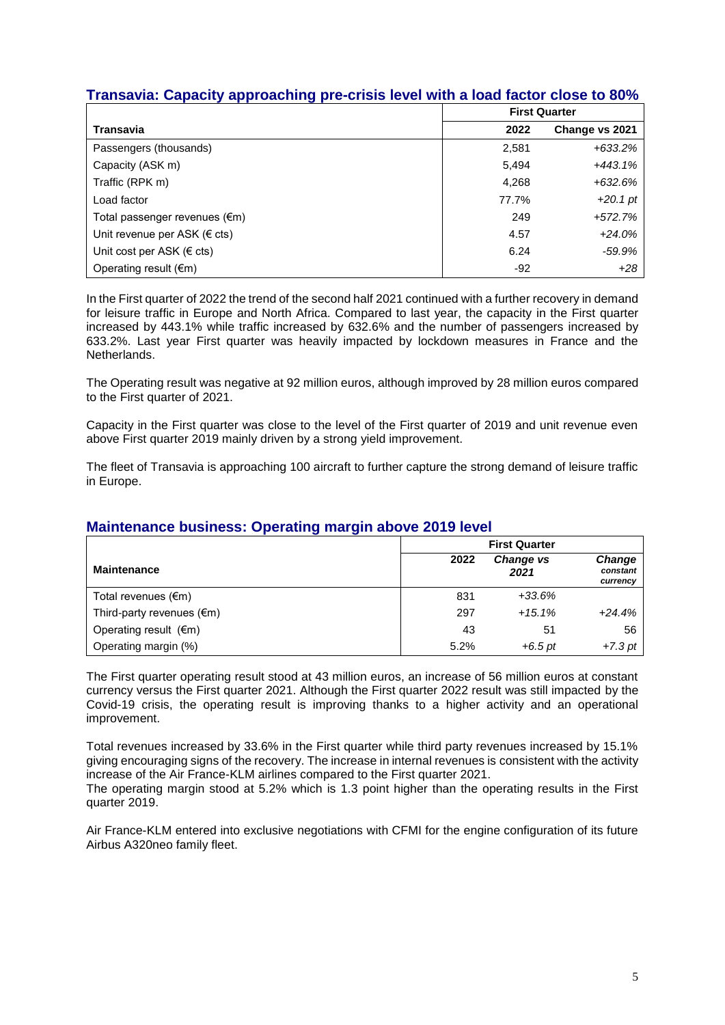## **Transavia: Capacity approaching pre-crisis level with a load factor close to 80%**

|                                         | <b>First Quarter</b> |                |
|-----------------------------------------|----------------------|----------------|
| Transavia                               | 2022                 | Change vs 2021 |
| Passengers (thousands)                  | 2,581                | $+633.2\%$     |
| Capacity (ASK m)                        | 5,494                | $+443.1%$      |
| Traffic (RPK m)                         | 4,268                | $+632.6%$      |
| Load factor                             | 77.7%                | $+20.1$ pt     |
| Total passenger revenues $(\epsilon m)$ | 249                  | $+572.7%$      |
| Unit revenue per ASK ( $\in$ cts)       | 4.57                 | $+24.0%$       |
| Unit cost per ASK ( $\epsilon$ cts)     | 6.24                 | $-59.9%$       |
| Operating result $(\epsilon m)$         | $-92$                | $+28$          |

In the First quarter of 2022 the trend of the second half 2021 continued with a further recovery in demand for leisure traffic in Europe and North Africa. Compared to last year, the capacity in the First quarter increased by 443.1% while traffic increased by 632.6% and the number of passengers increased by 633.2%. Last year First quarter was heavily impacted by lockdown measures in France and the Netherlands.

The Operating result was negative at 92 million euros, although improved by 28 million euros compared to the First quarter of 2021.

Capacity in the First quarter was close to the level of the First quarter of 2019 and unit revenue even above First quarter 2019 mainly driven by a strong yield improvement.

The fleet of Transavia is approaching 100 aircraft to further capture the strong demand of leisure traffic in Europe.

|                                     | <b>First Quarter</b> |                          |                                |
|-------------------------------------|----------------------|--------------------------|--------------------------------|
| <b>Maintenance</b>                  | 2022                 | <b>Change vs</b><br>2021 | Change<br>constant<br>currency |
| Total revenues $(\epsilon m)$       | 831                  | $+33.6%$                 |                                |
| Third-party revenues $(\epsilon m)$ | 297                  | $+15.1%$                 | $+24.4%$                       |
| Operating result $(\epsilon m)$     | 43                   | 51                       | 56                             |
| Operating margin (%)                | 5.2%                 | $+6.5$ pt                | $+7.3$ pt                      |

## **Maintenance business: Operating margin above 2019 level**

The First quarter operating result stood at 43 million euros, an increase of 56 million euros at constant currency versus the First quarter 2021. Although the First quarter 2022 result was still impacted by the Covid-19 crisis, the operating result is improving thanks to a higher activity and an operational improvement.

Total revenues increased by 33.6% in the First quarter while third party revenues increased by 15.1% giving encouraging signs of the recovery. The increase in internal revenues is consistent with the activity increase of the Air France-KLM airlines compared to the First quarter 2021.

The operating margin stood at 5.2% which is 1.3 point higher than the operating results in the First quarter 2019.

Air France-KLM entered into exclusive negotiations with CFMI for the engine configuration of its future Airbus A320neo family fleet.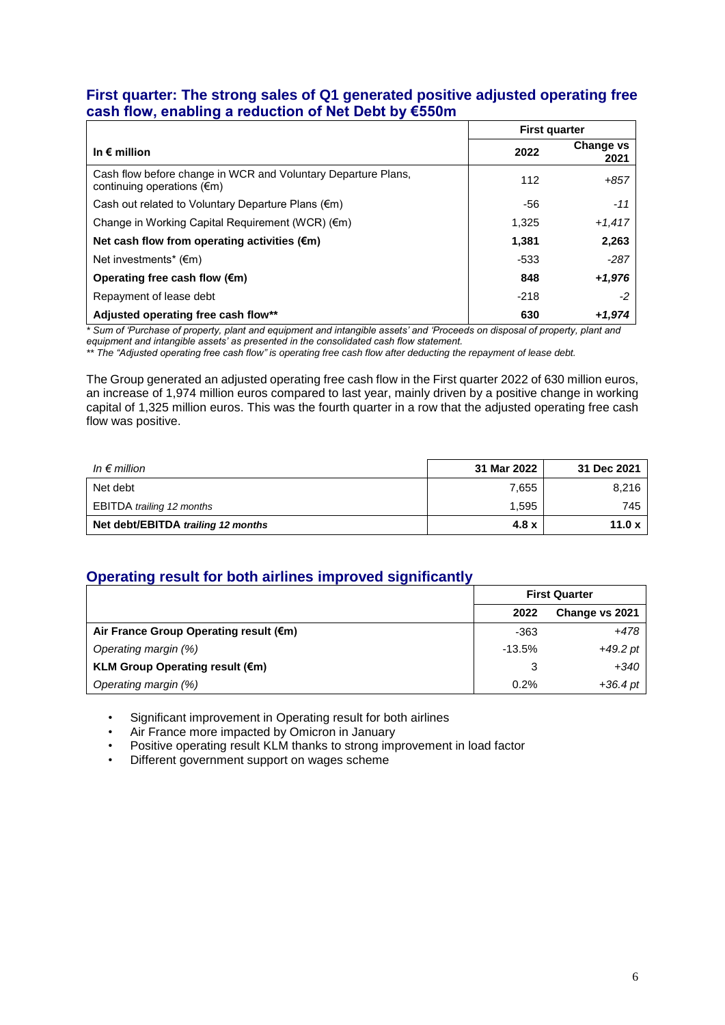## **First quarter: The strong sales of Q1 generated positive adjusted operating free cash flow, enabling a reduction of Net Debt by €550m**

|                                                                                                       | <b>First quarter</b> |                          |
|-------------------------------------------------------------------------------------------------------|----------------------|--------------------------|
| In $\epsilon$ million                                                                                 | 2022                 | <b>Change vs</b><br>2021 |
| Cash flow before change in WCR and Voluntary Departure Plans,<br>continuing operations $(\epsilon m)$ | 112                  | $+857$                   |
| Cash out related to Voluntary Departure Plans $(\epsilon m)$                                          | -56                  | $-11$                    |
| Change in Working Capital Requirement (WCR) $(\epsilon m)$                                            | 1,325                | $+1,417$                 |
| Net cash flow from operating activities $(\epsilon m)$                                                | 1.381                | 2,263                    |
| Net investments* $(\epsilon m)$                                                                       | -533                 | $-287$                   |
| Operating free cash flow $(\epsilon m)$                                                               | 848                  | $+1,976$                 |
| Repayment of lease debt                                                                               | $-218$               | -2                       |
| Adjusted operating free cash flow**                                                                   | 630                  | +1.974                   |

*\* Sum of 'Purchase of property, plant and equipment and intangible assets' and 'Proceeds on disposal of property, plant and* 

*equipment and intangible assets' as presented in the consolidated cash flow statement. \*\* The "Adjusted operating free cash flow" is operating free cash flow after deducting the repayment of lease debt.*

The Group generated an adjusted operating free cash flow in the First quarter 2022 of 630 million euros, an increase of 1,974 million euros compared to last year, mainly driven by a positive change in working capital of 1,325 million euros. This was the fourth quarter in a row that the adjusted operating free cash flow was positive.

| In $\epsilon$ million              | 31 Mar 2022 | 31 Dec 2021 |
|------------------------------------|-------------|-------------|
| Net debt                           | 7,655       | 8,216       |
| <b>EBITDA</b> trailing 12 months   | 1,595       | 745         |
| Net debt/EBITDA trailing 12 months | 4.8x        | 11.0 $x$    |

## **Operating result for both airlines improved significantly**

|                                           | <b>First Quarter</b> |                |
|-------------------------------------------|----------------------|----------------|
|                                           | 2022                 | Change vs 2021 |
| Air France Group Operating result (€m)    | -363                 | +478           |
| Operating margin (%)                      | $-13.5%$             | +49.2 pt       |
| KLM Group Operating result $(\epsilon m)$ | 3                    | +340           |
| Operating margin (%)                      | 0.2%                 | $+36.4$ pt     |

• Significant improvement in Operating result for both airlines

• Air France more impacted by Omicron in January

- Positive operating result KLM thanks to strong improvement in load factor
- Different government support on wages scheme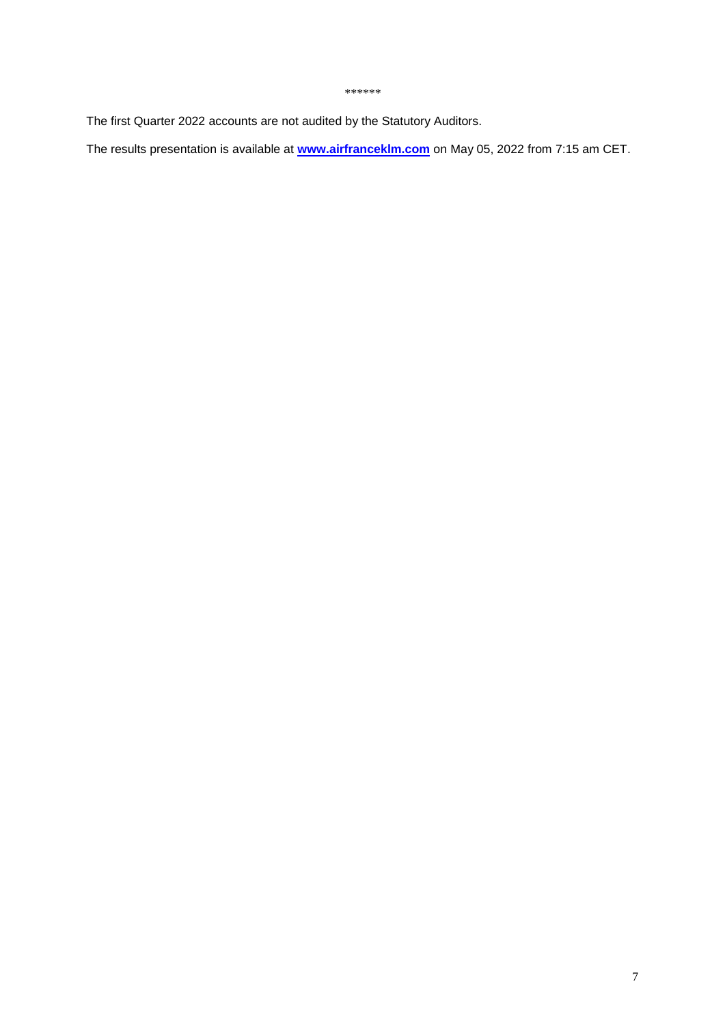#### *\*\*\*\*\*\**

The first Quarter 2022 accounts are not audited by the Statutory Auditors.

The results presentation is available at **www.airfranceklm.com** on May 05, 2022 from 7:15 am CET.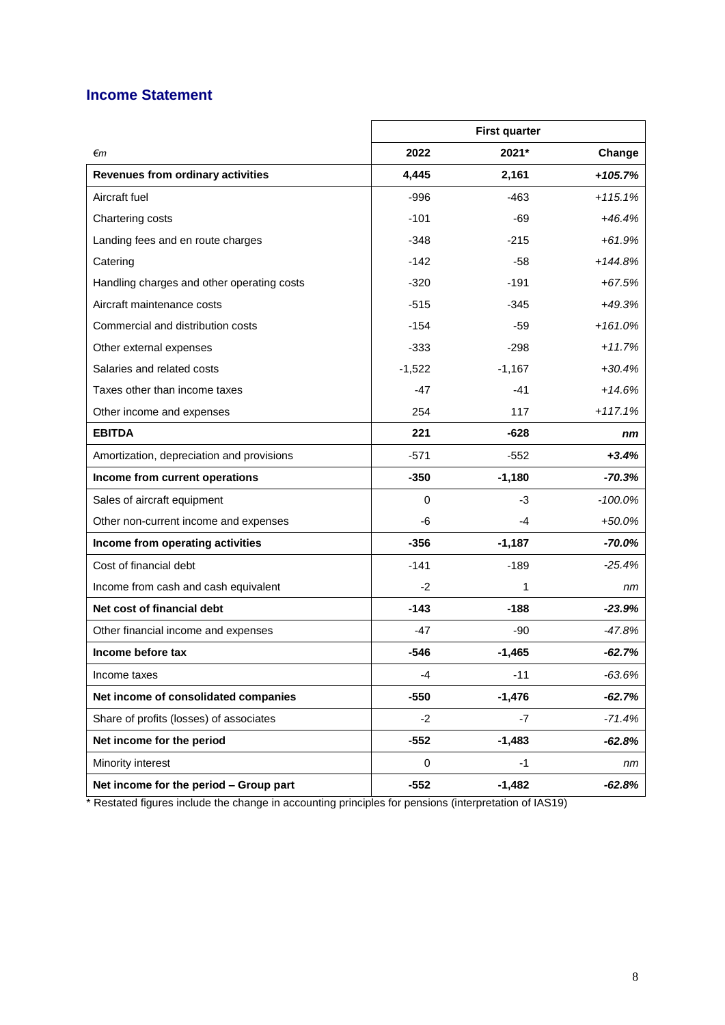## **Income Statement**

|                                            |          | <b>First quarter</b> |            |
|--------------------------------------------|----------|----------------------|------------|
| €m                                         | 2022     | 2021*                | Change     |
| <b>Revenues from ordinary activities</b>   | 4,445    | 2,161                | $+105.7%$  |
| Aircraft fuel                              | $-996$   | $-463$               | $+115.1%$  |
| Chartering costs                           | $-101$   | -69                  | $+46.4%$   |
| Landing fees and en route charges          | $-348$   | $-215$               | $+61.9%$   |
| Catering                                   | $-142$   | $-58$                | $+144.8%$  |
| Handling charges and other operating costs | $-320$   | -191                 | $+67.5%$   |
| Aircraft maintenance costs                 | $-515$   | -345                 | $+49.3%$   |
| Commercial and distribution costs          | $-154$   | -59                  | $+161.0%$  |
| Other external expenses                    | $-333$   | -298                 | $+11.7%$   |
| Salaries and related costs                 | $-1,522$ | $-1,167$             | $+30.4%$   |
| Taxes other than income taxes              | $-47$    | $-41$                | $+14.6%$   |
| Other income and expenses                  | 254      | 117                  | $+117.1%$  |
| <b>EBITDA</b>                              | 221      | $-628$               | nm         |
| Amortization, depreciation and provisions  | $-571$   | $-552$               | $+3.4%$    |
| Income from current operations             | $-350$   | $-1,180$             | $-70.3%$   |
| Sales of aircraft equipment                | $\Omega$ | $-3$                 | $-100.0\%$ |
| Other non-current income and expenses      | -6       | -4                   | $+50.0%$   |
| Income from operating activities           | $-356$   | $-1,187$             | $-70.0\%$  |
| Cost of financial debt                     | $-141$   | $-189$               | $-25.4\%$  |
| Income from cash and cash equivalent       | $-2$     | 1                    | nm         |
| Net cost of financial debt                 | $-143$   | $-188$               | $-23.9%$   |
| Other financial income and expenses        | $-47$    | -90                  | $-47.8%$   |
| Income before tax                          | $-546$   | $-1,465$             | $-62.7%$   |
| Income taxes                               | $-4$     | $-11$                | $-63.6%$   |
| Net income of consolidated companies       | $-550$   | $-1,476$             | $-62.7%$   |
| Share of profits (losses) of associates    | $-2$     | $-7$                 | $-71.4%$   |
| Net income for the period                  | $-552$   | $-1,483$             | $-62.8%$   |
| Minority interest                          | 0        | $-1$                 | nm         |
| Net income for the period - Group part     | $-552$   | $-1,482$             | $-62.8%$   |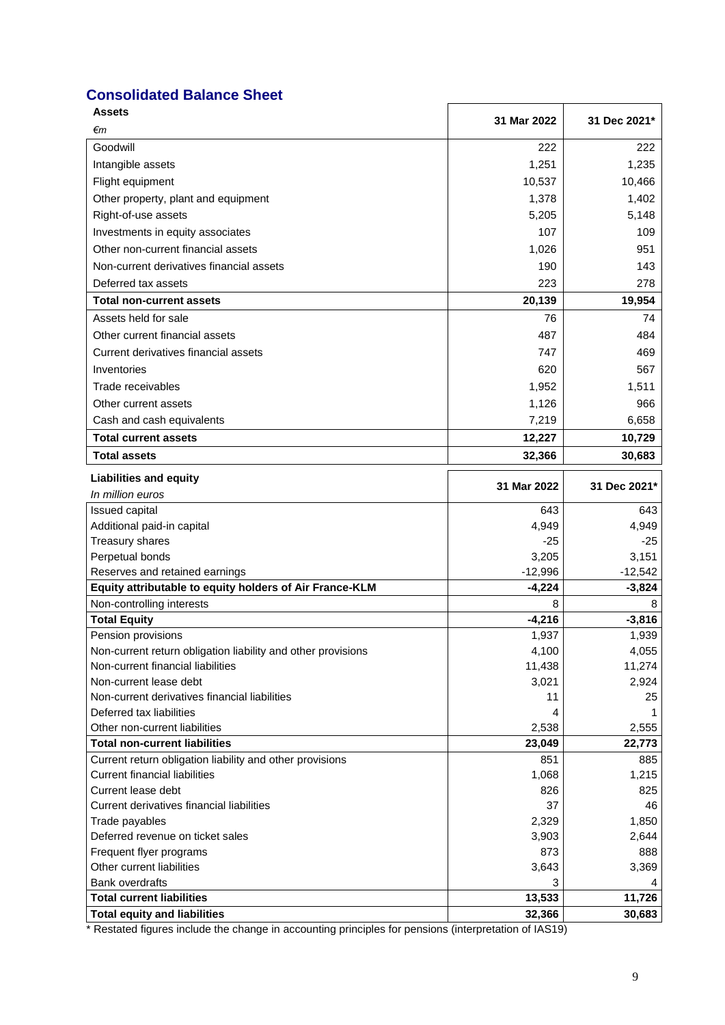## **Consolidated Balance Sheet**

| <b>Assets</b>                                                | 31 Mar 2022     | 31 Dec 2021*    |
|--------------------------------------------------------------|-----------------|-----------------|
| €m                                                           |                 |                 |
| Goodwill                                                     | 222             | 222             |
| Intangible assets                                            | 1,251           | 1,235           |
| Flight equipment                                             | 10,537          | 10,466          |
| Other property, plant and equipment                          | 1,378           | 1,402           |
| Right-of-use assets                                          | 5,205           | 5,148           |
| Investments in equity associates                             | 107             | 109             |
| Other non-current financial assets                           | 1,026           | 951             |
| Non-current derivatives financial assets                     | 190             | 143             |
| Deferred tax assets                                          | 223             | 278             |
| Total non-current assets                                     | 20,139          | 19,954          |
| Assets held for sale                                         | 76              | 74              |
| Other current financial assets                               | 487             | 484             |
| Current derivatives financial assets                         | 747             | 469             |
| Inventories                                                  | 620             | 567             |
| Trade receivables                                            | 1,952           | 1,511           |
| Other current assets                                         | 1,126           | 966             |
| Cash and cash equivalents                                    | 7,219           | 6,658           |
| Total current assets                                         | 12,227          | 10,729          |
| Total assets                                                 | 32,366          | 30,683          |
|                                                              |                 |                 |
| <b>Liabilities and equity</b><br>In million euros            | 31 Mar 2022     | 31 Dec 2021*    |
| Issued capital                                               | 643             | 643             |
| Additional paid-in capital                                   | 4,949           | 4,949           |
| Treasury shares                                              | $-25$           | $-25$           |
| Perpetual bonds                                              | 3,205           | 3,151           |
| Reserves and retained earnings                               | $-12,996$       | $-12,542$       |
| Equity attributable to equity holders of Air France-KLM      | $-4,224$        | $-3,824$        |
| Non-controlling interests                                    | 8               | 8               |
| <b>Total Equity</b>                                          | $-4,216$        | $-3,816$        |
| Pension provisions                                           | 1,937           | 1,939           |
| Non-current return obligation liability and other provisions | 4,100           | 4,055           |
| Non-current financial liabilities                            | 11,438          | 11,274          |
| Non-current lease debt                                       | 3,021           | 2,924           |
| Non-current derivatives financial liabilities                | 11              | 25              |
| Deferred tax liabilities<br>Other non-current liabilities    | 4               |                 |
| <b>Total non-current liabilities</b>                         | 2,538<br>23,049 | 2,555<br>22,773 |
| Current return obligation liability and other provisions     | 851             | 885             |
| <b>Current financial liabilities</b>                         | 1,068           | 1,215           |
| Current lease debt                                           | 826             | 825             |
| Current derivatives financial liabilities                    | 37              | 46              |
| Trade payables                                               | 2,329           | 1,850           |
| Deferred revenue on ticket sales                             | 3,903           | 2,644           |
| Frequent flyer programs                                      | 873             | 888             |
| Other current liabilities                                    | 3,643           | 3,369           |
| <b>Bank overdrafts</b>                                       | 3               | 4               |
| <b>Total current liabilities</b>                             | 13,533          | 11,726          |
| <b>Total equity and liabilities</b>                          | 32,366          | 30,683          |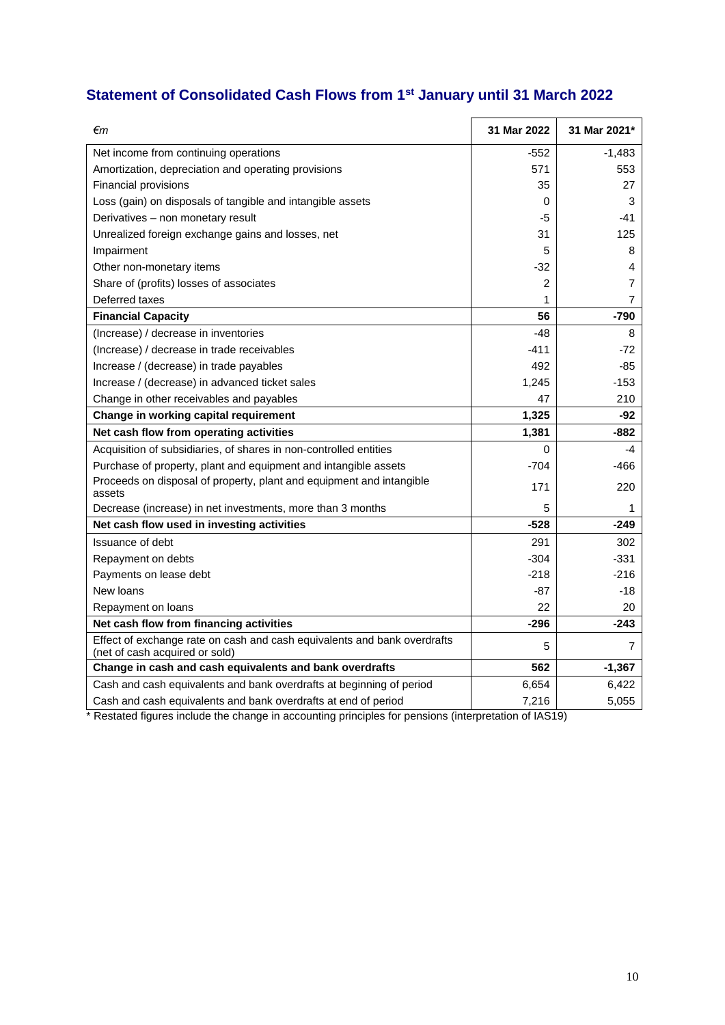# **Statement of Consolidated Cash Flows from 1st January until 31 March 2022**

| €m                                                                                                         | 31 Mar 2022 | 31 Mar 2021*   |
|------------------------------------------------------------------------------------------------------------|-------------|----------------|
| Net income from continuing operations                                                                      | $-552$      | -1,483         |
| Amortization, depreciation and operating provisions                                                        | 571         | 553            |
| Financial provisions                                                                                       | 35          | 27             |
| Loss (gain) on disposals of tangible and intangible assets                                                 | 0           | 3              |
| Derivatives - non monetary result                                                                          | -5          | -41            |
| Unrealized foreign exchange gains and losses, net                                                          | 31          | 125            |
| Impairment                                                                                                 | 5           | 8              |
| Other non-monetary items                                                                                   | $-32$       | 4              |
| Share of (profits) losses of associates                                                                    | 2           | $\overline{7}$ |
| Deferred taxes                                                                                             | 1           | $\overline{7}$ |
| <b>Financial Capacity</b>                                                                                  | 56          | -790           |
| (Increase) / decrease in inventories                                                                       | $-48$       | 8              |
| (Increase) / decrease in trade receivables                                                                 | $-411$      | $-72$          |
| Increase / (decrease) in trade payables                                                                    | 492         | -85            |
| Increase / (decrease) in advanced ticket sales                                                             | 1,245       | $-153$         |
| Change in other receivables and payables                                                                   | 47          | 210            |
| Change in working capital requirement                                                                      | 1,325       | -92            |
| Net cash flow from operating activities                                                                    | 1,381       | -882           |
| Acquisition of subsidiaries, of shares in non-controlled entities                                          | 0           | -4             |
| Purchase of property, plant and equipment and intangible assets                                            | $-704$      | -466           |
| Proceeds on disposal of property, plant and equipment and intangible<br>assets                             | 171         | 220            |
| Decrease (increase) in net investments, more than 3 months                                                 | 5           | 1              |
| Net cash flow used in investing activities                                                                 | $-528$      | -249           |
| Issuance of debt                                                                                           | 291         | 302            |
| Repayment on debts                                                                                         | $-304$      | -331           |
| Payments on lease debt                                                                                     | $-218$      | $-216$         |
| New loans                                                                                                  | $-87$       | -18            |
| Repayment on loans                                                                                         | 22          | 20             |
| Net cash flow from financing activities                                                                    | $-296$      | -243           |
| Effect of exchange rate on cash and cash equivalents and bank overdrafts<br>(net of cash acquired or sold) | 5           | 7              |
| Change in cash and cash equivalents and bank overdrafts                                                    | 562         | $-1,367$       |
| Cash and cash equivalents and bank overdrafts at beginning of period                                       | 6,654       | 6,422          |
| Cash and cash equivalents and bank overdrafts at end of period                                             | 7,216       | 5,055          |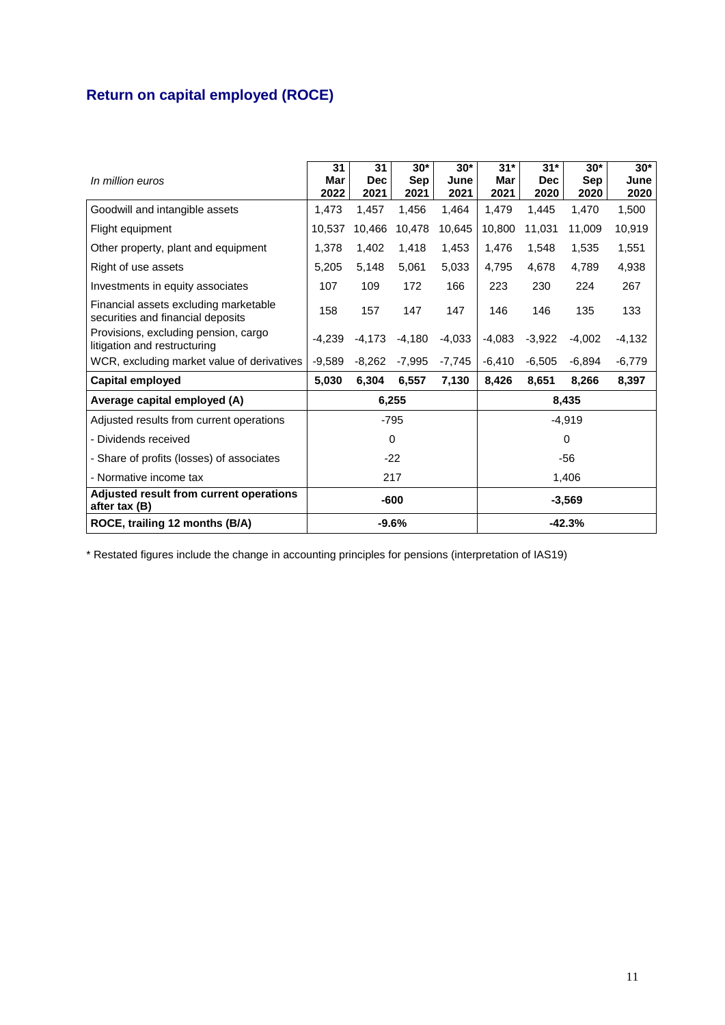# **Return on capital employed (ROCE)**

| In million euros                                                           | 31<br>Mar<br>2022 | 31<br><b>Dec</b><br>2021 | $30*$<br>Sep<br>2021 | $30*$<br>June<br>2021 | $31*$<br>Mar<br>2021 | $31*$<br><b>Dec</b><br>2020 | $30*$<br><b>Sep</b><br>2020 | $30*$<br>June<br>2020 |
|----------------------------------------------------------------------------|-------------------|--------------------------|----------------------|-----------------------|----------------------|-----------------------------|-----------------------------|-----------------------|
| Goodwill and intangible assets                                             | 1,473             | 1,457                    | 1,456                | 1,464                 | 1,479                | 1,445                       | 1,470                       | 1,500                 |
| Flight equipment                                                           | 10.537            | 10,466                   | 10,478               | 10,645                | 10,800               | 11,031                      | 11,009                      | 10,919                |
| Other property, plant and equipment                                        | 1,378             | 1,402                    | 1,418                | 1,453                 | 1,476                | 1,548                       | 1,535                       | 1,551                 |
| Right of use assets                                                        | 5.205             | 5,148                    | 5,061                | 5,033                 | 4.795                | 4,678                       | 4,789                       | 4,938                 |
| Investments in equity associates                                           | 107               | 109                      | 172                  | 166                   | 223                  | 230                         | 224                         | 267                   |
| Financial assets excluding marketable<br>securities and financial deposits | 158               | 157                      | 147                  | 147                   | 146                  | 146                         | 135                         | 133                   |
| Provisions, excluding pension, cargo<br>litigation and restructuring       | $-4.239$          | $-4,173$                 | $-4,180$             | $-4,033$              | $-4,083$             | $-3,922$                    | $-4,002$                    | $-4,132$              |
| WCR, excluding market value of derivatives                                 | $-9.589$          | $-8,262$                 | $-7,995$             | $-7,745$              | $-6,410$             | $-6.505$                    | $-6.894$                    | $-6,779$              |
| Capital employed                                                           | 5,030             | 6,304                    | 6,557                | 7,130                 | 8,426                | 8,651                       | 8,266                       | 8,397                 |
| Average capital employed (A)                                               | 8,435<br>6,255    |                          |                      |                       |                      |                             |                             |                       |
| Adjusted results from current operations                                   |                   |                          | $-795$               |                       |                      |                             | $-4,919$                    |                       |
| - Dividends received                                                       | $\Omega$          |                          | $\Omega$             |                       |                      |                             |                             |                       |
| - Share of profits (losses) of associates                                  | $-22$<br>-56      |                          |                      |                       |                      |                             |                             |                       |
| - Normative income tax                                                     | 217               |                          |                      | 1,406                 |                      |                             |                             |                       |
| Adjusted result from current operations<br>after tax (B)                   | $-600$            |                          |                      |                       | $-3,569$             |                             |                             |                       |
| ROCE, trailing 12 months (B/A)                                             |                   |                          | $-9.6%$              |                       |                      |                             | $-42.3%$                    |                       |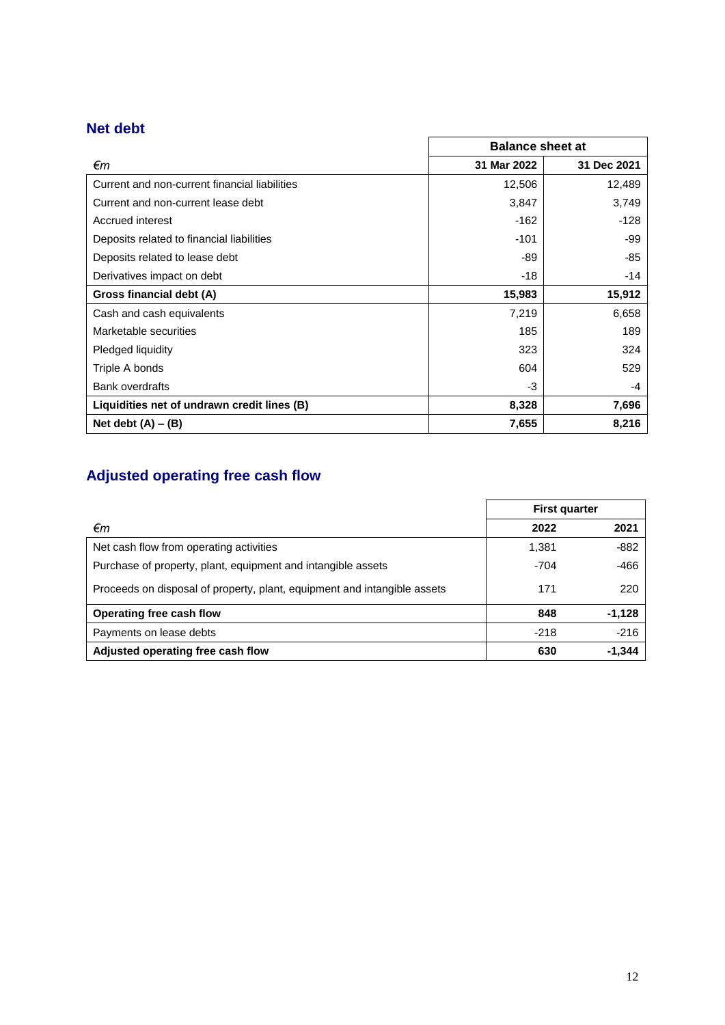## **Net debt**

|                                               | <b>Balance sheet at</b> |             |  |
|-----------------------------------------------|-------------------------|-------------|--|
| €m                                            | 31 Mar 2022             | 31 Dec 2021 |  |
| Current and non-current financial liabilities | 12,506                  | 12,489      |  |
| Current and non-current lease debt            | 3,847                   | 3,749       |  |
| Accrued interest                              | $-162$                  | $-128$      |  |
| Deposits related to financial liabilities     | $-101$                  | -99         |  |
| Deposits related to lease debt                | -89                     | -85         |  |
| Derivatives impact on debt                    | $-18$                   | $-14$       |  |
| Gross financial debt (A)                      | 15,983                  | 15,912      |  |
| Cash and cash equivalents                     | 7,219                   | 6,658       |  |
| Marketable securities                         | 185                     | 189         |  |
| Pledged liquidity                             | 323                     | 324         |  |
| Triple A bonds                                | 604                     | 529         |  |
| <b>Bank overdrafts</b>                        | -3                      | -4          |  |
| Liquidities net of undrawn credit lines (B)   | 8,328                   | 7,696       |  |
| Net debt $(A) - (B)$                          | 7,655                   | 8,216       |  |

# **Adjusted operating free cash flow**

|                                                                          | <b>First quarter</b> |          |
|--------------------------------------------------------------------------|----------------------|----------|
| €m                                                                       | 2022                 | 2021     |
| Net cash flow from operating activities                                  | 1,381                | $-882$   |
| Purchase of property, plant, equipment and intangible assets             | $-704$               | $-466$   |
| Proceeds on disposal of property, plant, equipment and intangible assets | 171                  | 220      |
| Operating free cash flow                                                 | 848                  | $-1,128$ |
| Payments on lease debts                                                  | $-218$               | $-216$   |
| Adjusted operating free cash flow                                        | 630                  | $-1,344$ |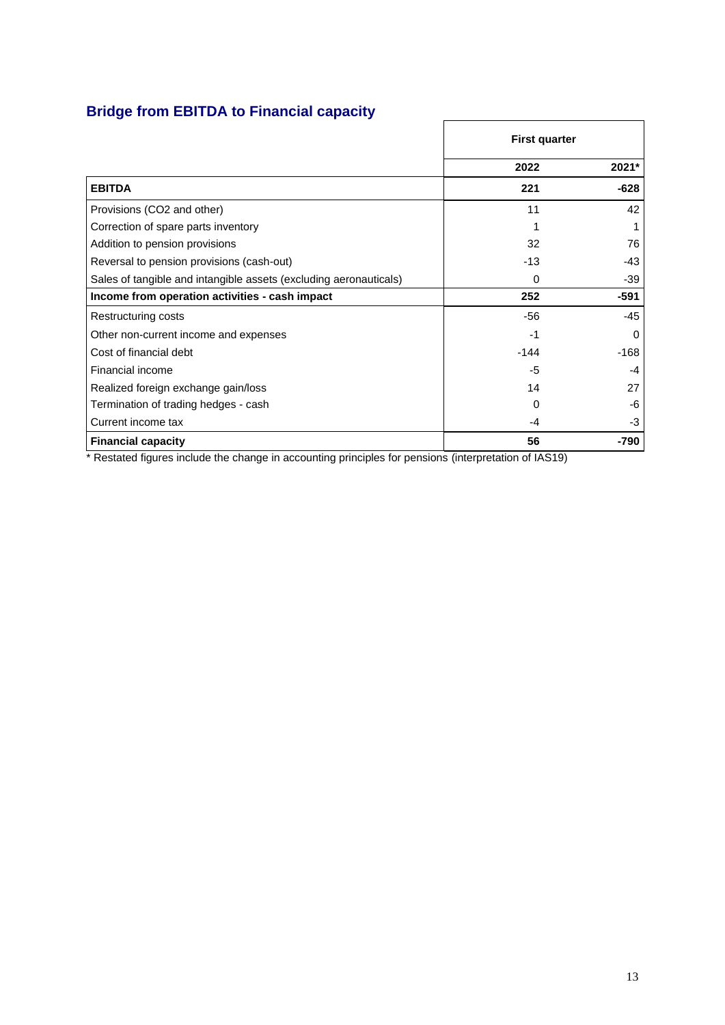## **Bridge from EBITDA to Financial capacity**

|                                                                   | <b>First quarter</b> |          |
|-------------------------------------------------------------------|----------------------|----------|
|                                                                   | 2022                 | 2021*    |
| <b>EBITDA</b>                                                     | 221                  | $-628$   |
| Provisions (CO2 and other)                                        | 11                   | 42       |
| Correction of spare parts inventory                               |                      |          |
| Addition to pension provisions                                    | 32                   | 76       |
| Reversal to pension provisions (cash-out)                         | $-13$                | -43      |
| Sales of tangible and intangible assets (excluding aeronauticals) | $\Omega$             | -39      |
| Income from operation activities - cash impact                    | 252                  | -591     |
| Restructuring costs                                               | $-56$                | $-45$    |
| Other non-current income and expenses                             | $-1$                 | $\Omega$ |
| Cost of financial debt                                            | $-144$               | $-168$   |
| Financial income                                                  | -5                   | -4       |
| Realized foreign exchange gain/loss                               | 14                   | 27       |
| Termination of trading hedges - cash                              | 0                    | -6       |
| Current income tax                                                | -4                   | -3       |
| <b>Financial capacity</b>                                         | 56                   | -790     |

 $\overline{1}$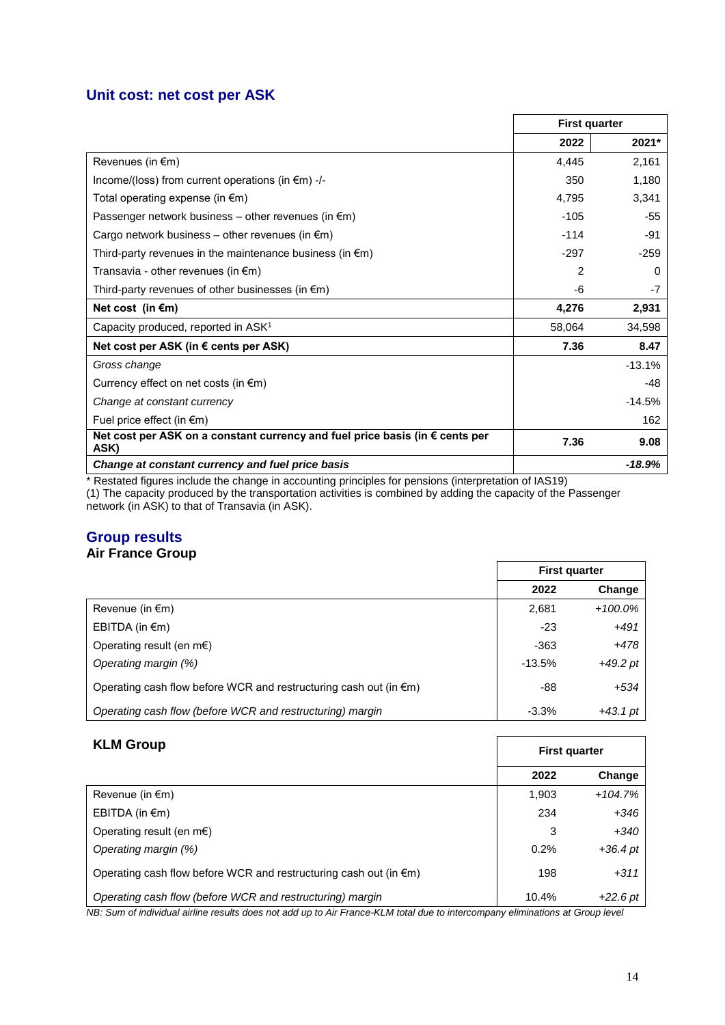## **Unit cost: net cost per ASK**

|                                                                                      | <b>First quarter</b> |          |
|--------------------------------------------------------------------------------------|----------------------|----------|
|                                                                                      | 2022                 | 2021*    |
| Revenues (in €m)                                                                     | 4,445                | 2,161    |
| Income/(loss) from current operations (in $\epsilon$ m) -/-                          | 350                  | 1,180    |
| Total operating expense (in €m)                                                      | 4,795                | 3,341    |
| Passenger network business – other revenues (in $\epsilon$ m)                        | $-105$               | -55      |
| Cargo network business – other revenues (in $\epsilon$ m)                            | $-114$               | $-91$    |
| Third-party revenues in the maintenance business (in $\epsilon$ m)                   | $-297$               | $-259$   |
| Transavia - other revenues (in $\epsilon$ m)                                         | 2                    | 0        |
| Third-party revenues of other businesses (in $\epsilon$ m)                           | -6                   | $-7$     |
| Net cost (in $\epsilon$ m)                                                           | 4,276                | 2,931    |
| Capacity produced, reported in ASK <sup>1</sup>                                      | 58,064               | 34,598   |
| Net cost per ASK (in $\epsilon$ cents per ASK)                                       | 7.36                 | 8.47     |
| Gross change                                                                         |                      | $-13.1%$ |
| Currency effect on net costs (in $\epsilon$ m)                                       |                      | -48      |
| Change at constant currency                                                          |                      | $-14.5%$ |
| Fuel price effect (in $\epsilon$ m)                                                  |                      | 162      |
| Net cost per ASK on a constant currency and fuel price basis (in € cents per<br>ASK) | 7.36                 | 9.08     |
| Change at constant currency and fuel price basis                                     |                      | $-18.9%$ |

\* Restated figures include the change in accounting principles for pensions (interpretation of IAS19) (1) The capacity produced by the transportation activities is combined by adding the capacity of the Passenger network (in ASK) to that of Transavia (in ASK).

#### **Group results Air France Group**

|                                                                             | <b>First quarter</b> |            |
|-----------------------------------------------------------------------------|----------------------|------------|
|                                                                             | 2022                 | Change     |
| Revenue (in $\epsilon$ m)                                                   | 2,681                | $+100.0\%$ |
| EBITDA (in $\epsilon$ m)                                                    | $-23$                | $+491$     |
| Operating result (en m $\epsilon$ )                                         | $-363$               | $+478$     |
| Operating margin (%)                                                        | $-13.5%$             | $+49.2$ pt |
| Operating cash flow before WCR and restructuring cash out (in $\epsilon$ m) | -88                  | $+534$     |
| Operating cash flow (before WCR and restructuring) margin                   | $-3.3%$              | $+43.1$ pt |

| <b>KLM Group</b><br><b>First quarter</b>                                    |       |            |
|-----------------------------------------------------------------------------|-------|------------|
|                                                                             | 2022  | Change     |
| Revenue (in $\epsilon$ m)                                                   | 1,903 | $+104.7%$  |
| EBITDA (in $\epsilon$ m)                                                    | 234   | $+346$     |
| Operating result (en m $\epsilon$ )                                         | 3     | $+340$     |
| Operating margin (%)                                                        | 0.2%  | $+36.4$ pt |
| Operating cash flow before WCR and restructuring cash out (in $\epsilon$ m) | 198   | $+311$     |
| Operating cash flow (before WCR and restructuring) margin                   | 10.4% | $+22.6$ pt |

*NB: Sum of individual airline results does not add up to Air France-KLM total due to intercompany eliminations at Group level*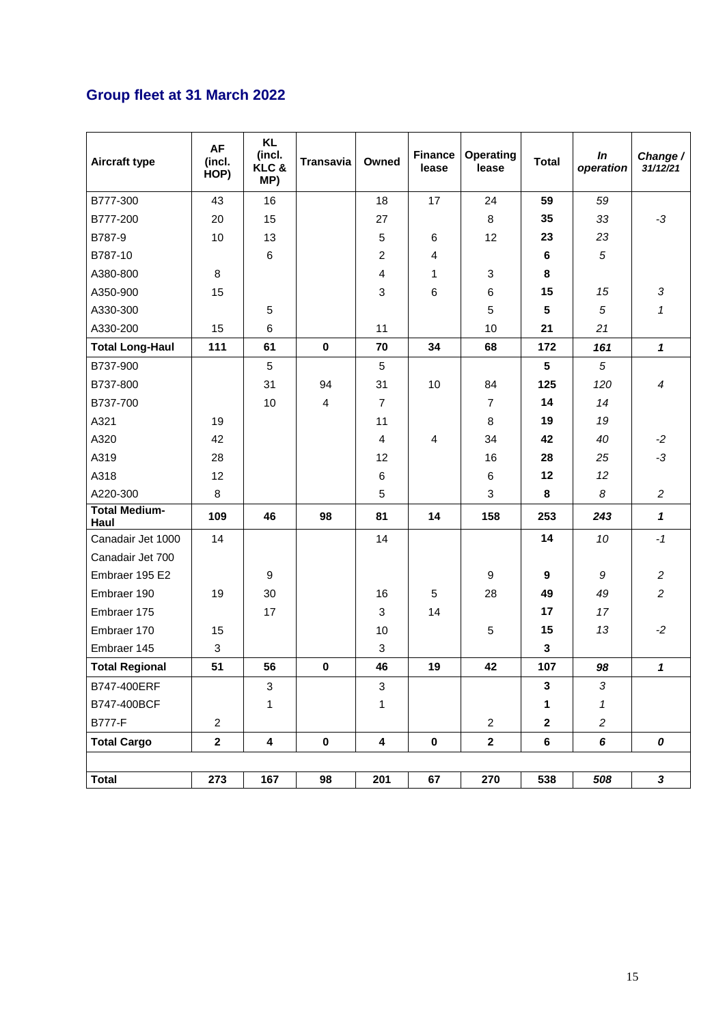# **Group fleet at 31 March 2022**

| Aircraft type                | <b>AF</b><br>(incl.<br>HOP) | <b>KL</b><br>(incl.<br>KLC&<br>MP) | <b>Transavia</b> | Owned                   | <b>Finance</b><br>lease | <b>Operating</b><br>lease | <b>Total</b>    | In<br>operation | Change /<br>31/12/21 |
|------------------------------|-----------------------------|------------------------------------|------------------|-------------------------|-------------------------|---------------------------|-----------------|-----------------|----------------------|
| B777-300                     | 43                          | 16                                 |                  | 18                      | 17                      | 24                        | 59              | 59              |                      |
| B777-200                     | 20                          | 15                                 |                  | 27                      |                         | 8                         | 35              | 33              | $-3$                 |
| B787-9                       | 10                          | 13                                 |                  | 5                       | 6                       | 12                        | 23              | 23              |                      |
| B787-10                      |                             | $\,6$                              |                  | $\overline{c}$          | 4                       |                           | 6               | 5               |                      |
| A380-800                     | 8                           |                                    |                  | 4                       | 1                       | 3                         | 8               |                 |                      |
| A350-900                     | 15                          |                                    |                  | 3                       | 6                       | 6                         | 15              | 15              | 3                    |
| A330-300                     |                             | 5                                  |                  |                         |                         | $\sqrt{5}$                | 5               | $\sqrt{5}$      | $\mathbf{1}$         |
| A330-200                     | 15                          | 6                                  |                  | 11                      |                         | 10                        | 21              | 21              |                      |
| <b>Total Long-Haul</b>       | 111                         | 61                                 | $\mathbf 0$      | 70                      | 34                      | 68                        | 172             | 161             | $\mathbf{1}$         |
| B737-900                     |                             | 5                                  |                  | $\sqrt{5}$              |                         |                           | $5\phantom{.0}$ | 5               |                      |
| B737-800                     |                             | 31                                 | 94               | 31                      | 10                      | 84                        | 125             | 120             | $\boldsymbol{4}$     |
| B737-700                     |                             | 10                                 | 4                | $\overline{7}$          |                         | $\overline{7}$            | 14              | 14              |                      |
| A321                         | 19                          |                                    |                  | 11                      |                         | 8                         | 19              | 19              |                      |
| A320                         | 42                          |                                    |                  | $\overline{4}$          | 4                       | 34                        | 42              | 40              | $-2$                 |
| A319                         | 28                          |                                    |                  | 12                      |                         | 16                        | 28              | 25              | $-3$                 |
| A318                         | 12                          |                                    |                  | 6                       |                         | 6                         | 12              | 12              |                      |
| A220-300                     | 8                           |                                    |                  | 5                       |                         | 3                         | 8               | 8               | $\overline{a}$       |
| <b>Total Medium-</b><br>Haul | 109                         | 46                                 | 98               | 81                      | 14                      | 158                       | 253             | 243             | $\mathbf{1}$         |
| Canadair Jet 1000            | 14                          |                                    |                  | 14                      |                         |                           | 14              | 10              | $-1$                 |
| Canadair Jet 700             |                             |                                    |                  |                         |                         |                           |                 |                 |                      |
| Embraer 195 E2               |                             | $\boldsymbol{9}$                   |                  |                         |                         | 9                         | 9               | 9               | $\overline{c}$       |
| Embraer 190                  | 19                          | 30                                 |                  | 16                      | 5                       | 28                        | 49              | 49              | $\overline{a}$       |
| Embraer 175                  |                             | 17                                 |                  | 3                       | 14                      |                           | 17              | 17              |                      |
| Embraer 170                  | 15                          |                                    |                  | 10                      |                         | 5                         | 15              | 13              | $-2$                 |
| Embraer 145                  | $\ensuremath{\mathsf{3}}$   |                                    |                  | 3                       |                         |                           | $\mathbf{3}$    |                 |                      |
| <b>Total Regional</b>        | 51                          | 56                                 | $\pmb{0}$        | 46                      | 19                      | 42                        | 107             | 98              | $\mathbf{1}$         |
| B747-400ERF                  |                             | 3                                  |                  | 3                       |                         |                           | 3               | 3               |                      |
| B747-400BCF                  |                             | 1                                  |                  | 1                       |                         |                           | 1               | 1               |                      |
| <b>B777-F</b>                | $\overline{c}$              |                                    |                  |                         |                         | $\overline{2}$            | $\mathbf{2}$    | $\overline{c}$  |                      |
| <b>Total Cargo</b>           | $\mathbf 2$                 | $\boldsymbol{4}$                   | $\mathbf 0$      | $\overline{\mathbf{4}}$ | $\pmb{0}$               | $\mathbf{2}$              | 6               | 6               | 0                    |
|                              |                             |                                    |                  |                         |                         |                           |                 |                 |                      |
| <b>Total</b>                 | 273                         | 167                                | 98               | 201                     | 67                      | 270                       | 538             | 508             | $\mathbf{3}$         |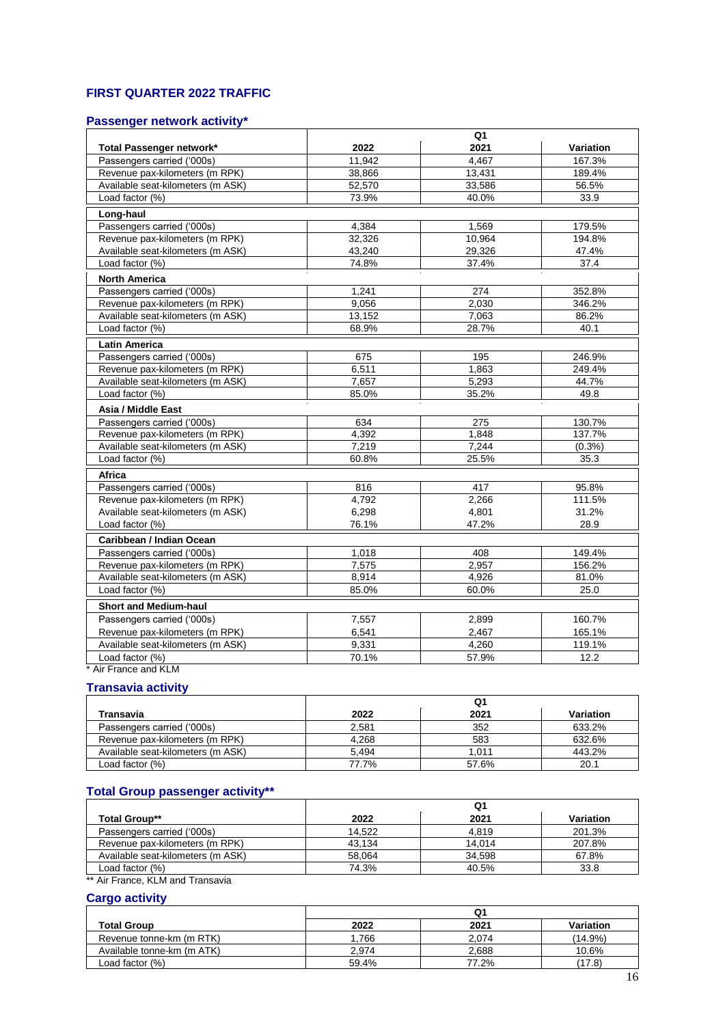## **FIRST QUARTER 2022 TRAF FIC**

## **Passenger network activity\***

|                                   | Q <sub>1</sub> |        |           |  |  |
|-----------------------------------|----------------|--------|-----------|--|--|
| Total Passenger network*          | 2022           | 2021   | Variation |  |  |
| Passengers carried ('000s)        | 11,942         | 4.467  | 167.3%    |  |  |
| Revenue pax-kilometers (m RPK)    | 38,866         | 13,431 | 189.4%    |  |  |
| Available seat-kilometers (m ASK) | 52,570         | 33,586 | 56.5%     |  |  |
| Load factor (%)                   | 73.9%          | 40.0%  | 33.9      |  |  |
| Long-haul                         |                |        |           |  |  |
| Passengers carried ('000s)        | 4,384          | 1,569  | 179.5%    |  |  |
| Revenue pax-kilometers (m RPK)    | 32,326         | 10,964 | 194.8%    |  |  |
| Available seat-kilometers (m ASK) | 43,240         | 29.326 | 47.4%     |  |  |
| Load factor (%)                   | 74.8%          | 37.4%  | 37.4      |  |  |
| <b>North America</b>              |                |        |           |  |  |
| Passengers carried ('000s)        | 1,241          | 274    | 352.8%    |  |  |
| Revenue pax-kilometers (m RPK)    | 9.056          | 2.030  | 346.2%    |  |  |
| Available seat-kilometers (m ASK) | 13,152         | 7,063  | 86.2%     |  |  |
| Load factor (%)                   | 68.9%          | 28.7%  | 40.1      |  |  |
| <b>Latin America</b>              |                |        |           |  |  |
| Passengers carried ('000s)        | 675            | 195    | 246.9%    |  |  |
| Revenue pax-kilometers (m RPK)    | 6,511          | 1,863  | 249.4%    |  |  |
| Available seat-kilometers (m ASK) | 7.657          | 5.293  | 44.7%     |  |  |
| Load factor (%)                   | 85.0%          | 35.2%  | 49.8      |  |  |
| Asia / Middle East                |                |        |           |  |  |
| Passengers carried ('000s)        | 634            | 275    | 130.7%    |  |  |
| Revenue pax-kilometers (m RPK)    | 4,392          | 1,848  | 137.7%    |  |  |
| Available seat-kilometers (m ASK) | 7.219          | 7.244  | $(0.3\%)$ |  |  |
| Load factor (%)                   | 60.8%          | 25.5%  | 35.3      |  |  |
| Africa                            |                |        |           |  |  |
| Passengers carried ('000s)        | 816            | 417    | 95.8%     |  |  |
| Revenue pax-kilometers (m RPK)    | 4,792          | 2,266  | 111.5%    |  |  |
| Available seat-kilometers (m ASK) | 6,298          | 4,801  | 31.2%     |  |  |
| Load factor (%)                   | 76.1%          | 47.2%  | 28.9      |  |  |
| Caribbean / Indian Ocean          |                |        |           |  |  |
| Passengers carried ('000s)        | 1,018          | 408    | 149.4%    |  |  |
| Revenue pax-kilometers (m RPK)    | 7,575          | 2,957  | 156.2%    |  |  |
| Available seat-kilometers (m ASK) | 8,914          | 4,926  | 81.0%     |  |  |
| Load factor (%)                   | 85.0%          | 60.0%  | 25.0      |  |  |
| <b>Short and Medium-haul</b>      |                |        |           |  |  |
| Passengers carried ('000s)        | 7,557          | 2,899  | 160.7%    |  |  |
| Revenue pax-kilometers (m RPK)    | 6,541          | 2,467  | 165.1%    |  |  |
| Available seat-kilometers (m ASK) | 9,331          | 4,260  | 119.1%    |  |  |
| Load factor (%)                   | 70.1%          | 57.9%  | 12.2      |  |  |
| Air France and KLM                |                |        |           |  |  |

#### **Transavia activity**

| Transavia                         | 2022  | 2021  | Variation |  |  |
|-----------------------------------|-------|-------|-----------|--|--|
| Passengers carried ('000s)        | 2.581 | 352   | 633.2%    |  |  |
| Revenue pax-kilometers (m RPK)    | 4.268 | 583   | 632.6%    |  |  |
| Available seat-kilometers (m ASK) | 5.494 | 1.011 | 443.2%    |  |  |
| Load factor $(\%)$                | 77.7% | 57.6% | 20.1      |  |  |

## **Total Group passenger activity\*\***

|                                   | Q1     |        |           |  |  |  |
|-----------------------------------|--------|--------|-----------|--|--|--|
| Total Group**                     | 2022   | 2021   | Variation |  |  |  |
| Passengers carried ('000s)        | 14.522 | 4.819  | 201.3%    |  |  |  |
| Revenue pax-kilometers (m RPK)    | 43,134 | 14.014 | 207.8%    |  |  |  |
| Available seat-kilometers (m ASK) | 58,064 | 34,598 | 67.8%     |  |  |  |
| Load factor $(\%)$                | 74.3%  | 40.5%  | 33.8      |  |  |  |

\*\* Air France, KLM and Transavia

#### **Cargo activity**

| <b>UGIYU GULIVILY</b>      | Q1    |       |                  |  |  |
|----------------------------|-------|-------|------------------|--|--|
| <b>Total Group</b>         | 2022  | 2021  | <b>Variation</b> |  |  |
| Revenue tonne-km (m RTK)   | .766  | 2.074 | $(14.9\%)$       |  |  |
| Available tonne-km (m ATK) | 2.974 | 2,688 | 10.6%            |  |  |
| Load factor (%)            | 59.4% | 77.2% | (17.8)           |  |  |